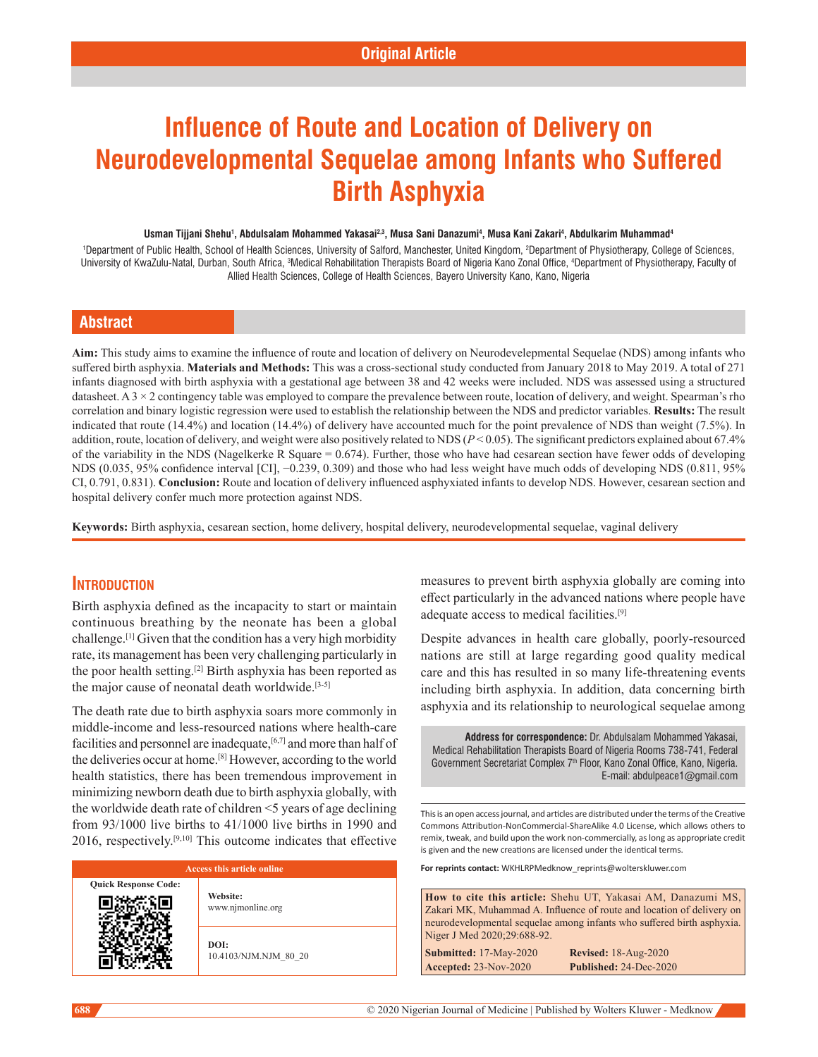# **Influence of Route and Location of Delivery on Neurodevelopmental Sequelae among Infants who Suffered Birth Asphyxia**

#### Usman Tijjani Shehu<sup>1</sup>, Abdulsalam Mohammed Yakasai<sup>2,3</sup>, Musa Sani Danazumi<sup>4</sup>, Musa Kani Zakari<sup>4</sup>, Abdulkarim Muhammad<sup>4</sup>

<sup>1</sup>Department of Public Health, School of Health Sciences, University of Salford, Manchester, United Kingdom, <sup>2</sup>Department of Physiotherapy, College of Sciences, University of KwaZulu-Natal, Durban, South Africa, <sup>s</sup>Medical Rehabilitation Therapists Board of Nigeria Kano Zonal Office, <sup>4</sup>Department of Physiotherapy, Faculty of Allied Health Sciences, College of Health Sciences, Bayero University Kano, Kano, Nigeria

# **Abstract**

**Aim:** This study aims to examine the influence of route and location of delivery on Neurodevelepmental Sequelae (NDS) among infants who suffered birth asphyxia. **Materials and Methods:** This was a cross-sectional study conducted from January 2018 to May 2019. A total of 271 infants diagnosed with birth asphyxia with a gestational age between 38 and 42 weeks were included. NDS was assessed using a structured datasheet. A 3 × 2 contingency table was employed to compare the prevalence between route, location of delivery, and weight. Spearman's rho correlation and binary logistic regression were used to establish the relationship between the NDS and predictor variables. **Results:** The result indicated that route (14.4%) and location (14.4%) of delivery have accounted much for the point prevalence of NDS than weight (7.5%). In addition, route, location of delivery, and weight were also positively related to NDS (*P* < 0.05). The significant predictors explained about 67.4% of the variability in the NDS (Nagelkerke R Square = 0.674). Further, those who have had cesarean section have fewer odds of developing NDS (0.035, 95% confidence interval [CI], −0.239, 0.309) and those who had less weight have much odds of developing NDS (0.811, 95% CI, 0.791, 0.831). **Conclusion:** Route and location of delivery influenced asphyxiated infants to develop NDS. However, cesarean section and hospital delivery confer much more protection against NDS.

**Keywords:** Birth asphyxia, cesarean section, home delivery, hospital delivery, neurodevelopmental sequelae, vaginal delivery

# **Introduction**

Birth asphyxia defined as the incapacity to start or maintain continuous breathing by the neonate has been a global challenge.[1] Given that the condition has a very high morbidity rate, its management has been very challenging particularly in the poor health setting.[2] Birth asphyxia has been reported as the major cause of neonatal death worldwide.[3-5]

The death rate due to birth asphyxia soars more commonly in middle-income and less-resourced nations where health-care facilities and personnel are inadequate,<sup>[6,7]</sup> and more than half of the deliveries occur at home.[8] However, according to the world health statistics, there has been tremendous improvement in minimizing newborn death due to birth asphyxia globally, with the worldwide death rate of children <5 years of age declining from 93/1000 live births to 41/1000 live births in 1990 and  $2016$ , respectively.<sup>[9,10]</sup> This outcome indicates that effective

# **Access this article online Quick Response Code: Website:** www.njmonline.org **DOI:**

10.4103/NJM.NJM\_80\_20

measures to prevent birth asphyxia globally are coming into effect particularly in the advanced nations where people have adequate access to medical facilities.[9]

Despite advances in health care globally, poorly-resourced nations are still at large regarding good quality medical care and this has resulted in so many life-threatening events including birth asphyxia. In addition, data concerning birth asphyxia and its relationship to neurological sequelae among

**Address for correspondence:** Dr. Abdulsalam Mohammed Yakasai, Medical Rehabilitation Therapists Board of Nigeria Rooms 738-741, Federal Government Secretariat Complex 7<sup>th</sup> Floor, Kano Zonal Office, Kano, Nigeria. E-mail: abdulpeace1@gmail.com

This is an open access journal, and articles are distributed under the terms of the Creative Commons Attribution‑NonCommercial‑ShareAlike 4.0 License, which allows others to remix, tweak, and build upon the work non‑commercially, as long as appropriate credit is given and the new creations are licensed under the identical terms.

**For reprints contact:** WKHLRPMedknow\_reprints@wolterskluwer.com

**How to cite this article:** Shehu UT, Yakasai AM, Danazumi MS, Zakari MK, Muhammad A. Influence of route and location of delivery on neurodevelopmental sequelae among infants who suffered birth asphyxia. Niger J Med 2020;29:688-92.

**Submitted:** 17-May-2020 **Revised:** 18-Aug-2020 **Accepted:** 23-Nov-2020 **Published:** 24-Dec-2020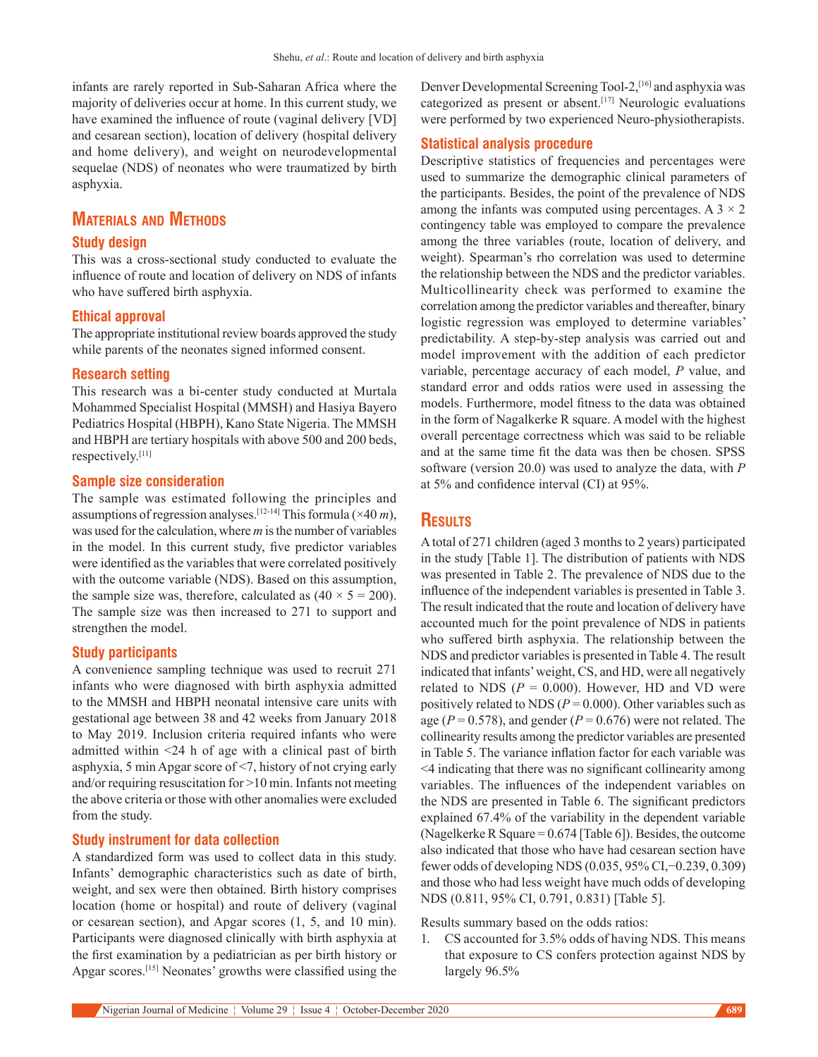infants are rarely reported in Sub-Saharan Africa where the majority of deliveries occur at home. In this current study, we have examined the influence of route (vaginal delivery [VD] and cesarean section), location of delivery (hospital delivery and home delivery), and weight on neurodevelopmental sequelae (NDS) of neonates who were traumatized by birth asphyxia.

# **Materials and Methods**

## **Study design**

This was a cross-sectional study conducted to evaluate the influence of route and location of delivery on NDS of infants who have suffered birth asphyxia.

### **Ethical approval**

The appropriate institutional review boards approved the study while parents of the neonates signed informed consent.

## **Research setting**

This research was a bi-center study conducted at Murtala Mohammed Specialist Hospital (MMSH) and Hasiya Bayero Pediatrics Hospital (HBPH), Kano State Nigeria. The MMSH and HBPH are tertiary hospitals with above 500 and 200 beds, respectively.[11]

#### **Sample size consideration**

The sample was estimated following the principles and assumptions of regression analyses.[12-14] This formula (×40 *m*), was used for the calculation, where *m* is the number of variables in the model. In this current study, five predictor variables were identified as the variables that were correlated positively with the outcome variable (NDS). Based on this assumption, the sample size was, therefore, calculated as  $(40 \times 5 = 200)$ . The sample size was then increased to 271 to support and strengthen the model.

## **Study participants**

A convenience sampling technique was used to recruit 271 infants who were diagnosed with birth asphyxia admitted to the MMSH and HBPH neonatal intensive care units with gestational age between 38 and 42 weeks from January 2018 to May 2019. Inclusion criteria required infants who were admitted within <24 h of age with a clinical past of birth asphyxia, 5 min Apgar score of <7, history of not crying early and/or requiring resuscitation for >10 min. Infants not meeting the above criteria or those with other anomalies were excluded from the study.

#### **Study instrument for data collection**

A standardized form was used to collect data in this study. Infants' demographic characteristics such as date of birth, weight, and sex were then obtained. Birth history comprises location (home or hospital) and route of delivery (vaginal or cesarean section), and Apgar scores (1, 5, and 10 min). Participants were diagnosed clinically with birth asphyxia at the first examination by a pediatrician as per birth history or Apgar scores.[15] Neonates' growths were classified using the Denver Developmental Screening Tool-2,[16] and asphyxia was categorized as present or absent.<sup>[17]</sup> Neurologic evaluations were performed by two experienced Neuro-physiotherapists.

#### **Statistical analysis procedure**

Descriptive statistics of frequencies and percentages were used to summarize the demographic clinical parameters of the participants. Besides, the point of the prevalence of NDS among the infants was computed using percentages. A  $3 \times 2$ contingency table was employed to compare the prevalence among the three variables (route, location of delivery, and weight). Spearman's rho correlation was used to determine the relationship between the NDS and the predictor variables. Multicollinearity check was performed to examine the correlation among the predictor variables and thereafter, binary logistic regression was employed to determine variables' predictability. A step-by-step analysis was carried out and model improvement with the addition of each predictor variable, percentage accuracy of each model, *P* value, and standard error and odds ratios were used in assessing the models. Furthermore, model fitness to the data was obtained in the form of Nagalkerke R square. A model with the highest overall percentage correctness which was said to be reliable and at the same time fit the data was then be chosen. SPSS software (version 20.0) was used to analyze the data, with *P* at 5% and confidence interval (CI) at 95%.

# **Results**

A total of 271 children (aged 3 months to 2 years) participated in the study [Table 1]. The distribution of patients with NDS was presented in Table 2. The prevalence of NDS due to the influence of the independent variables is presented in Table 3. The result indicated that the route and location of delivery have accounted much for the point prevalence of NDS in patients who suffered birth asphyxia. The relationship between the NDS and predictor variables is presented in Table 4. The result indicated that infants' weight, CS, and HD, were all negatively related to NDS ( $P = 0.000$ ). However, HD and VD were positively related to NDS ( $P = 0.000$ ). Other variables such as age ( $P = 0.578$ ), and gender ( $P = 0.676$ ) were not related. The collinearity results among the predictor variables are presented in Table 5. The variance inflation factor for each variable was <4 indicating that there was no significant collinearity among variables. The influences of the independent variables on the NDS are presented in Table 6. The significant predictors explained 67.4% of the variability in the dependent variable (Nagelkerke R Square = 0.674 [Table 6]). Besides, the outcome also indicated that those who have had cesarean section have fewer odds of developing NDS (0.035, 95% CI,−0.239, 0.309) and those who had less weight have much odds of developing NDS (0.811, 95% CI, 0.791, 0.831) [Table 5].

#### Results summary based on the odds ratios:

1. CS accounted for 3.5% odds of having NDS. This means that exposure to CS confers protection against NDS by largely 96.5%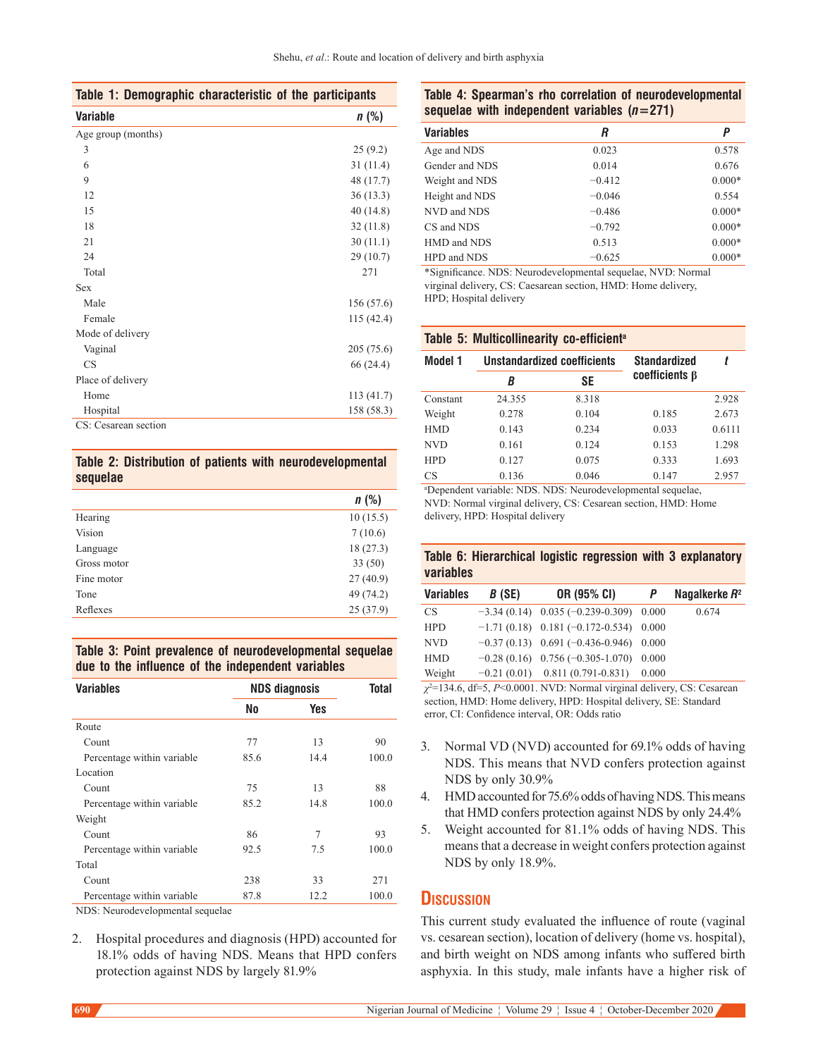|  | Table 1: Demographic characteristic of the participants |  |  |
|--|---------------------------------------------------------|--|--|
|--|---------------------------------------------------------|--|--|

| <b>Variable</b>      | n(%)       |
|----------------------|------------|
| Age group (months)   |            |
| 3                    | 25(9.2)    |
| 6                    | 31(11.4)   |
| 9                    | 48 (17.7)  |
| 12                   | 36(13.3)   |
| 15                   | 40(14.8)   |
| 18                   | 32(11.8)   |
| 21                   | 30(11.1)   |
| 24                   | 29 (10.7)  |
| Total                | 271        |
| <b>Sex</b>           |            |
| Male                 | 156 (57.6) |
| Female               | 115 (42.4) |
| Mode of delivery     |            |
| Vaginal              | 205(75.6)  |
| CS                   | 66 (24.4)  |
| Place of delivery    |            |
| Home                 | 113 (41.7) |
| Hospital             | 158 (58.3) |
| CS: Cesarean section |            |

## **Table 2: Distribution of patients with neurodevelopmental sequelae**

|             | $n$ (%)   |
|-------------|-----------|
| Hearing     | 10(15.5)  |
| Vision      | 7(10.6)   |
| Language    | 18(27.3)  |
| Gross motor | 33(50)    |
| Fine motor  | 27(40.9)  |
| Tone        | 49 (74.2) |
| Reflexes    | 25(37.9)  |
|             |           |

# **Table 3: Point prevalence of neurodevelopmental sequelae due to the influence of the independent variables**

| <b>Variables</b>           |      | <b>NDS diagnosis</b> |       |
|----------------------------|------|----------------------|-------|
|                            | No   | Yes                  |       |
| Route                      |      |                      |       |
| Count                      | 77   | 13                   | 90    |
| Percentage within variable | 85.6 | 14.4                 | 100.0 |
| Location                   |      |                      |       |
| Count                      | 75   | 13                   | 88    |
| Percentage within variable | 85.2 | 14.8                 | 100.0 |
| Weight                     |      |                      |       |
| Count                      | 86   | 7                    | 93    |
| Percentage within variable | 92.5 | 7.5                  | 100.0 |
| Total                      |      |                      |       |
| Count                      | 238  | 33                   | 271   |
| Percentage within variable | 87.8 | 12.2                 | 100.0 |

NDS: Neurodevelopmental sequelae

2. Hospital procedures and diagnosis (HPD) accounted for 18.1% odds of having NDS. Means that HPD confers protection against NDS by largely 81.9%

## **Table 4: Spearman's rho correlation of neurodevelopmental sequelae with independent variables (***n***=271)**

| Variables      | R        | Ρ        |
|----------------|----------|----------|
| Age and NDS    | 0.023    | 0.578    |
| Gender and NDS | 0.014    | 0.676    |
| Weight and NDS | $-0.412$ | $0.000*$ |
| Height and NDS | $-0.046$ | 0.554    |
| NVD and NDS    | $-0.486$ | $0.000*$ |
| CS and NDS     | $-0.792$ | $0.000*$ |
| HMD and NDS    | 0.513    | $0.000*$ |
| HPD and NDS    | $-0.625$ | $0.000*$ |

\*Significance. NDS: Neurodevelopmental sequelae, NVD: Normal virginal delivery, CS: Caesarean section, HMD: Home delivery, HPD; Hospital delivery

#### **Table 5: Multicollinearity co-efficienta**

| Model 1    | Unstandardized coefficients |       | Standardized        |        |
|------------|-----------------------------|-------|---------------------|--------|
|            | В                           | SE    | $coefficients\beta$ |        |
| Constant   | 24.355                      | 8.318 |                     | 2.928  |
| Weight     | 0.278                       | 0.104 | 0.185               | 2.673  |
| <b>HMD</b> | 0.143                       | 0.234 | 0.033               | 0.6111 |
| <b>NVD</b> | 0.161                       | 0.124 | 0.153               | 1.298  |
| <b>HPD</b> | 0.127                       | 0.075 | 0.333               | 1.693  |
| CS         | 0.136                       | 0.046 | 0.147               | 2.957  |

a Dependent variable: NDS. NDS: Neurodevelopmental sequelae, NVD: Normal virginal delivery, CS: Cesarean section, HMD: Home delivery, HPD: Hospital delivery

## **Table 6: Hierarchical logistic regression with 3 explanatory variables**

| <b>Variables</b> | B(SE) | OR (95% CI)                            | P     | Nagalkerke $R^2$ |
|------------------|-------|----------------------------------------|-------|------------------|
| CS.              |       | $-3.34(0.14)$ 0.035 (-0.239-0.309)     | 0.000 | 0.674            |
| <b>HPD</b>       |       | $-1.71(0.18)$ 0.181 (-0.172-0.534)     | 0.000 |                  |
| <b>NVD</b>       |       | $-0.37(0.13)$ 0.691 (-0.436-0.946)     | 0.000 |                  |
| <b>HMD</b>       |       | $-0.28(0.16)$ 0.756 ( $-0.305-1.070$ ) | 0.000 |                  |
| Weight           |       | $-0.21(0.01)$ 0.811 (0.791-0.831)      | 0.000 |                  |

*χ*2 =134.6, df=5, *P*<0.0001. NVD: Normal virginal delivery, CS: Cesarean section, HMD: Home delivery, HPD: Hospital delivery, SE: Standard error, CI: Confidence interval, OR: Odds ratio

- 3. Normal VD (NVD) accounted for 69.1% odds of having NDS. This means that NVD confers protection against NDS by only 30.9%
- 4. HMD accounted for 75.6% odds of having NDS. This means that HMD confers protection against NDS by only 24.4%
- 5. Weight accounted for 81.1% odds of having NDS. This means that a decrease in weight confers protection against NDS by only 18.9%.

# **Discussion**

This current study evaluated the influence of route (vaginal vs. cesarean section), location of delivery (home vs. hospital), and birth weight on NDS among infants who suffered birth asphyxia. In this study, male infants have a higher risk of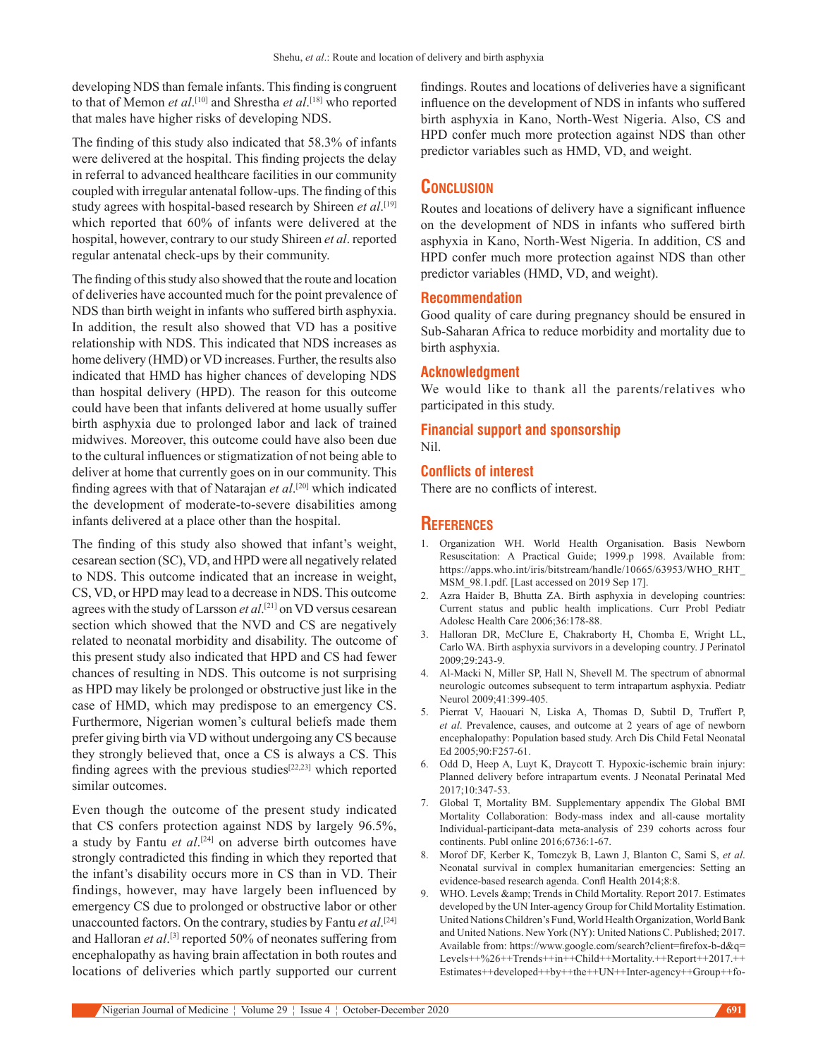developing NDS than female infants. This finding is congruent to that of Memon *et al*. [10] and Shrestha *et al*. [18] who reported that males have higher risks of developing NDS.

The finding of this study also indicated that 58.3% of infants were delivered at the hospital. This finding projects the delay in referral to advanced healthcare facilities in our community coupled with irregular antenatal follow-ups. The finding of this study agrees with hospital-based research by Shireen et al.<sup>[19]</sup> which reported that 60% of infants were delivered at the hospital, however, contrary to our study Shireen *et al*. reported regular antenatal check-ups by their community.

The finding of this study also showed that the route and location of deliveries have accounted much for the point prevalence of NDS than birth weight in infants who suffered birth asphyxia. In addition, the result also showed that VD has a positive relationship with NDS. This indicated that NDS increases as home delivery (HMD) or VD increases. Further, the results also indicated that HMD has higher chances of developing NDS than hospital delivery (HPD). The reason for this outcome could have been that infants delivered at home usually suffer birth asphyxia due to prolonged labor and lack of trained midwives. Moreover, this outcome could have also been due to the cultural influences or stigmatization of not being able to deliver at home that currently goes on in our community. This finding agrees with that of Natarajan *et al*. [20] which indicated the development of moderate-to-severe disabilities among infants delivered at a place other than the hospital.

The finding of this study also showed that infant's weight, cesarean section (SC), VD, and HPD were all negatively related to NDS. This outcome indicated that an increase in weight, CS, VD, or HPD may lead to a decrease in NDS. This outcome agrees with the study of Larsson *et al*. [21] on VD versus cesarean section which showed that the NVD and CS are negatively related to neonatal morbidity and disability. The outcome of this present study also indicated that HPD and CS had fewer chances of resulting in NDS. This outcome is not surprising as HPD may likely be prolonged or obstructive just like in the case of HMD, which may predispose to an emergency CS. Furthermore, Nigerian women's cultural beliefs made them prefer giving birth via VD without undergoing any CS because they strongly believed that, once a CS is always a CS. This finding agrees with the previous studies[22,23] which reported similar outcomes.

Even though the outcome of the present study indicated that CS confers protection against NDS by largely 96.5%, a study by Fantu *et al*. [24] on adverse birth outcomes have strongly contradicted this finding in which they reported that the infant's disability occurs more in CS than in VD. Their findings, however, may have largely been influenced by emergency CS due to prolonged or obstructive labor or other unaccounted factors. On the contrary, studies by Fantu *et al*. [24] and Halloran *et al*.<sup>[3]</sup> reported 50% of neonates suffering from encephalopathy as having brain affectation in both routes and locations of deliveries which partly supported our current

findings. Routes and locations of deliveries have a significant influence on the development of NDS in infants who suffered birth asphyxia in Kano, North-West Nigeria. Also, CS and HPD confer much more protection against NDS than other predictor variables such as HMD, VD, and weight.

# **Conclusion**

Routes and locations of delivery have a significant influence on the development of NDS in infants who suffered birth asphyxia in Kano, North-West Nigeria. In addition, CS and HPD confer much more protection against NDS than other predictor variables (HMD, VD, and weight).

#### **Recommendation**

Good quality of care during pregnancy should be ensured in Sub-Saharan Africa to reduce morbidity and mortality due to birth asphyxia.

#### **Acknowledgment**

We would like to thank all the parents/relatives who participated in this study.

#### **Financial support and sponsorship** Nil.

## **Conflicts of interest**

There are no conflicts of interest.

#### **References**

- 1. Organization WH. World Health Organisation. Basis Newborn Resuscitation: A Practical Guide; 1999.p 1998. Available from: https://apps.who.int/iris/bitstream/handle/10665/63953/WHO\_RHT\_ MSM\_98.1.pdf. [Last accessed on 2019 Sep 17].
- 2. Azra Haider B, Bhutta ZA. Birth asphyxia in developing countries: Current status and public health implications. Curr Probl Pediatr Adolesc Health Care 2006;36:178-88.
- 3. Halloran DR, McClure E, Chakraborty H, Chomba E, Wright LL, Carlo WA. Birth asphyxia survivors in a developing country. J Perinatol  $2009.29.243 - 9$
- 4. Al-Macki N, Miller SP, Hall N, Shevell M. The spectrum of abnormal neurologic outcomes subsequent to term intrapartum asphyxia. Pediatr Neurol 2009;41:399-405.
- 5. Pierrat V, Haouari N, Liska A, Thomas D, Subtil D, Truffert P, *et al*. Prevalence, causes, and outcome at 2 years of age of newborn encephalopathy: Population based study. Arch Dis Child Fetal Neonatal Ed 2005;90:F257-61.
- 6. Odd D, Heep A, Luyt K, Draycott T. Hypoxic-ischemic brain injury: Planned delivery before intrapartum events. J Neonatal Perinatal Med 2017;10:347-53.
- 7. Global T, Mortality BM. Supplementary appendix The Global BMI Mortality Collaboration: Body-mass index and all-cause mortality Individual-participant-data meta-analysis of 239 cohorts across four continents. Publ online 2016;6736:1-67.
- 8. Morof DF, Kerber K, Tomczyk B, Lawn J, Blanton C, Sami S, *et al*. Neonatal survival in complex humanitarian emergencies: Setting an evidence-based research agenda. Confl Health 2014;8:8.
- 9. WHO. Levels & amp; Trends in Child Mortality. Report 2017. Estimates developed by the UN Inter-agency Group for Child Mortality Estimation. United Nations Children's Fund, World Health Organization, World Bank and United Nations. New York (NY): United Nations C. Published; 2017. Available from: https://www.google.com/search?client=firefox-b-d&q= Levels++%26++Trends++in++Child++Mortality.++Report++2017.++ Estimates++developed++by++the++UN++Inter-agency++Group++fo-